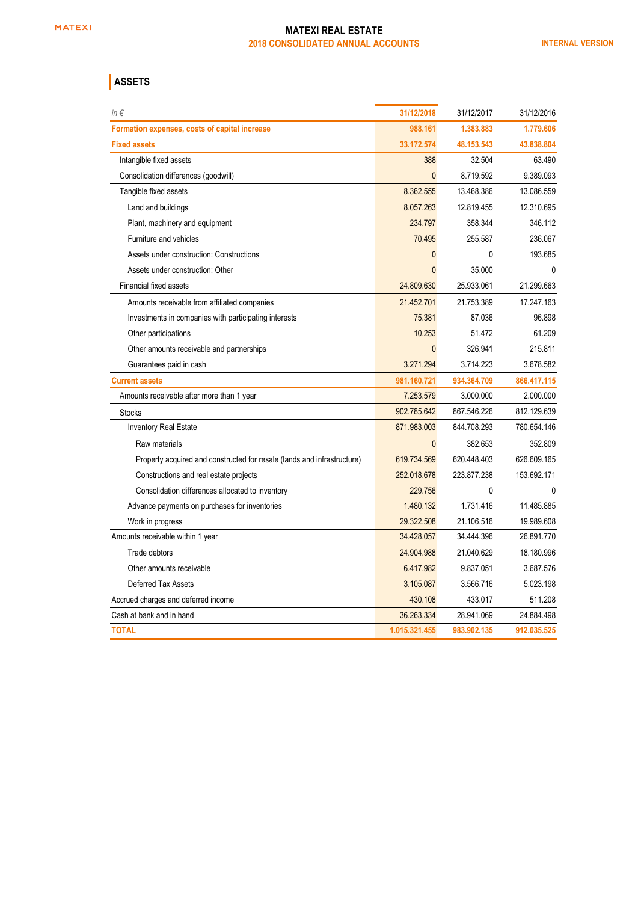## **ASSETS**

| $in \in$                                                                | 31/12/2018    | 31/12/2017  | 31/12/2016  |
|-------------------------------------------------------------------------|---------------|-------------|-------------|
| Formation expenses, costs of capital increase                           | 988.161       | 1.383.883   | 1.779.606   |
| <b>Fixed assets</b>                                                     | 33.172.574    | 48.153.543  | 43.838.804  |
| Intangible fixed assets                                                 | 388           | 32.504      | 63.490      |
| Consolidation differences (goodwill)                                    | $\mathbf{0}$  | 8.719.592   | 9.389.093   |
| Tangible fixed assets                                                   | 8.362.555     | 13.468.386  | 13.086.559  |
| Land and buildings                                                      | 8.057.263     | 12.819.455  | 12.310.695  |
| Plant, machinery and equipment                                          | 234.797       | 358.344     | 346.112     |
| Furniture and vehicles                                                  | 70.495        | 255.587     | 236.067     |
| Assets under construction: Constructions                                | $\mathbf 0$   | 0           | 193.685     |
| Assets under construction: Other                                        | $\mathbf{0}$  | 35.000      | $\Omega$    |
| Financial fixed assets                                                  | 24.809.630    | 25.933.061  | 21.299.663  |
| Amounts receivable from affiliated companies                            | 21.452.701    | 21.753.389  | 17.247.163  |
| Investments in companies with participating interests                   | 75.381        | 87.036      | 96.898      |
| Other participations                                                    | 10.253        | 51.472      | 61.209      |
| Other amounts receivable and partnerships                               | $\mathbf{0}$  | 326.941     | 215.811     |
| Guarantees paid in cash                                                 | 3.271.294     | 3.714.223   | 3.678.582   |
| <b>Current assets</b>                                                   | 981.160.721   | 934.364.709 | 866.417.115 |
| Amounts receivable after more than 1 year                               | 7.253.579     | 3.000.000   | 2.000.000   |
| <b>Stocks</b>                                                           | 902.785.642   | 867.546.226 | 812.129.639 |
| <b>Inventory Real Estate</b>                                            | 871.983.003   | 844.708.293 | 780.654.146 |
| Raw materials                                                           | $\Omega$      | 382.653     | 352.809     |
| Property acquired and constructed for resale (lands and infrastructure) | 619.734.569   | 620.448.403 | 626.609.165 |
| Constructions and real estate projects                                  | 252.018.678   | 223.877.238 | 153.692.171 |
| Consolidation differences allocated to inventory                        | 229.756       | 0           | 0           |
| Advance payments on purchases for inventories                           | 1.480.132     | 1.731.416   | 11.485.885  |
| Work in progress                                                        | 29.322.508    | 21.106.516  | 19.989.608  |
| Amounts receivable within 1 year                                        | 34.428.057    | 34.444.396  | 26.891.770  |
| Trade debtors                                                           | 24.904.988    | 21.040.629  | 18.180.996  |
| Other amounts receivable                                                | 6.417.982     | 9.837.051   | 3.687.576   |
| Deferred Tax Assets                                                     | 3.105.087     | 3.566.716   | 5.023.198   |
| Accrued charges and deferred income                                     | 430.108       | 433.017     | 511.208     |
| Cash at bank and in hand                                                | 36.263.334    | 28.941.069  | 24.884.498  |
| <b>TOTAL</b>                                                            | 1.015.321.455 | 983.902.135 | 912.035.525 |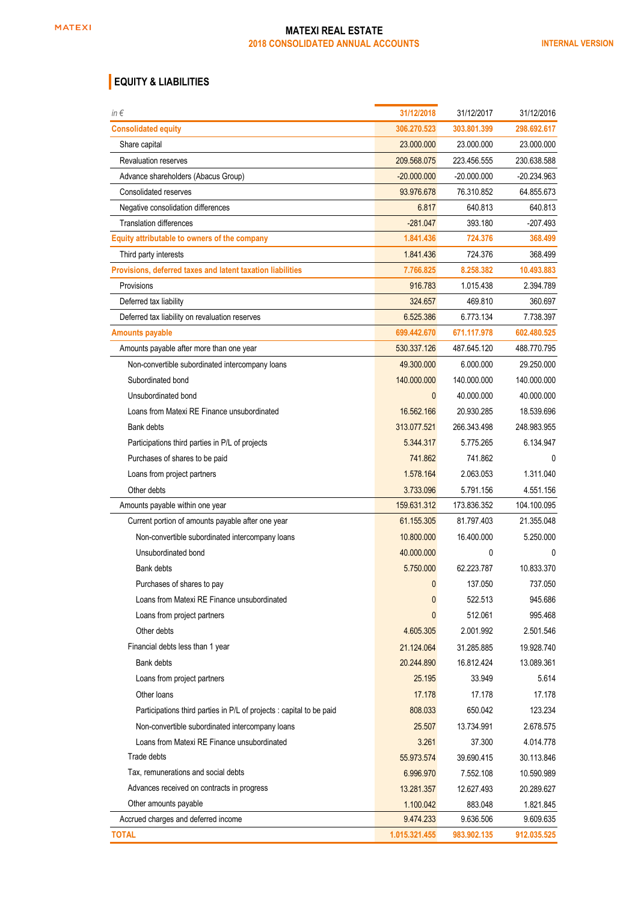## **EQUITY & LIABILITIES**

| in $\epsilon$                                                        | 31/12/2018    | 31/12/2017    | 31/12/2016    |
|----------------------------------------------------------------------|---------------|---------------|---------------|
| <b>Consolidated equity</b>                                           | 306.270.523   | 303.801.399   | 298.692.617   |
| Share capital                                                        | 23.000.000    | 23.000.000    | 23.000.000    |
| <b>Revaluation reserves</b>                                          | 209.568.075   | 223.456.555   | 230.638.588   |
| Advance shareholders (Abacus Group)                                  | $-20.000.000$ | $-20.000.000$ | $-20.234.963$ |
| Consolidated reserves                                                | 93.976.678    | 76.310.852    | 64.855.673    |
| Negative consolidation differences                                   | 6.817         | 640.813       | 640.813       |
| <b>Translation differences</b>                                       | $-281.047$    | 393.180       | -207.493      |
| Equity attributable to owners of the company                         | 1.841.436     | 724.376       | 368.499       |
| Third party interests                                                | 1.841.436     | 724.376       | 368.499       |
| Provisions, deferred taxes and latent taxation liabilities           | 7.766.825     | 8.258.382     | 10.493.883    |
| Provisions                                                           | 916.783       | 1.015.438     | 2.394.789     |
| Deferred tax liability                                               | 324.657       | 469.810       | 360.697       |
| Deferred tax liability on revaluation reserves                       | 6.525.386     | 6.773.134     | 7.738.397     |
| <b>Amounts payable</b>                                               | 699.442.670   | 671.117.978   | 602.480.525   |
| Amounts payable after more than one year                             | 530.337.126   | 487.645.120   | 488.770.795   |
| Non-convertible subordinated intercompany loans                      | 49.300.000    | 6.000.000     | 29.250.000    |
| Subordinated bond                                                    | 140.000.000   | 140.000.000   | 140.000.000   |
| Unsubordinated bond                                                  | $\mathbf{0}$  | 40.000.000    | 40.000.000    |
| Loans from Matexi RE Finance unsubordinated                          | 16.562.166    | 20.930.285    | 18.539.696    |
| Bank debts                                                           | 313.077.521   | 266.343.498   | 248.983.955   |
| Participations third parties in P/L of projects                      | 5.344.317     | 5.775.265     | 6.134.947     |
| Purchases of shares to be paid                                       | 741.862       | 741.862       | 0             |
| Loans from project partners                                          | 1.578.164     | 2.063.053     | 1.311.040     |
| Other debts                                                          | 3.733.096     | 5.791.156     | 4.551.156     |
| Amounts payable within one year                                      | 159.631.312   | 173.836.352   | 104.100.095   |
| Current portion of amounts payable after one year                    | 61.155.305    | 81.797.403    | 21.355.048    |
| Non-convertible subordinated intercompany loans                      | 10.800.000    | 16.400.000    | 5.250.000     |
| Unsubordinated bond                                                  | 40.000.000    | 0             | 0             |
| Bank debts                                                           | 5.750.000     | 62.223.787    | 10.833.370    |
| Purchases of shares to pay                                           | $\mathbf{0}$  | 137.050       | 737.050       |
| Loans from Matexi RE Finance unsubordinated                          | $\mathbf{0}$  | 522.513       | 945.686       |
| Loans from project partners                                          | 0             | 512.061       | 995.468       |
| Other debts                                                          | 4.605.305     | 2.001.992     | 2.501.546     |
| Financial debts less than 1 year                                     | 21.124.064    | 31.285.885    | 19.928.740    |
| Bank debts                                                           | 20.244.890    | 16.812.424    | 13.089.361    |
| Loans from project partners                                          | 25.195        | 33.949        | 5.614         |
| Other loans                                                          | 17.178        | 17.178        | 17.178        |
| Participations third parties in P/L of projects : capital to be paid | 808.033       | 650.042       | 123.234       |
| Non-convertible subordinated intercompany loans                      | 25.507        | 13.734.991    | 2.678.575     |
| Loans from Matexi RE Finance unsubordinated                          | 3.261         | 37.300        | 4.014.778     |
| Trade debts                                                          | 55.973.574    | 39.690.415    | 30.113.846    |
| Tax, remunerations and social debts                                  | 6.996.970     | 7.552.108     | 10.590.989    |
| Advances received on contracts in progress                           | 13.281.357    | 12.627.493    | 20.289.627    |
| Other amounts payable                                                | 1.100.042     | 883.048       | 1.821.845     |
| Accrued charges and deferred income                                  | 9.474.233     | 9.636.506     | 9.609.635     |
| <b>TOTAL</b>                                                         | 1.015.321.455 | 983.902.135   | 912.035.525   |